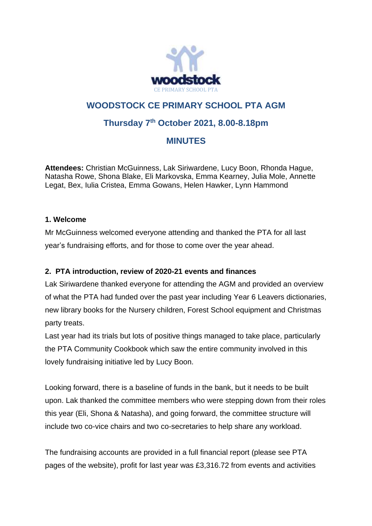

# **WOODSTOCK CE PRIMARY SCHOOL PTA AGM**

## **Thursday 7th October 2021, 8.00-8.18pm**

### **MINUTES**

**Attendees:** Christian McGuinness, Lak Siriwardene, Lucy Boon, Rhonda Hague, Natasha Rowe, Shona Blake, Eli Markovska, Emma Kearney, Julia Mole, Annette Legat, Bex, Iulia Cristea, Emma Gowans, Helen Hawker, Lynn Hammond

#### **1. Welcome**

Mr McGuinness welcomed everyone attending and thanked the PTA for all last year's fundraising efforts, and for those to come over the year ahead.

#### **2. PTA introduction, review of 2020-21 events and finances**

Lak Siriwardene thanked everyone for attending the AGM and provided an overview of what the PTA had funded over the past year including Year 6 Leavers dictionaries, new library books for the Nursery children, Forest School equipment and Christmas party treats.

Last year had its trials but lots of positive things managed to take place, particularly the PTA Community Cookbook which saw the entire community involved in this lovely fundraising initiative led by Lucy Boon.

Looking forward, there is a baseline of funds in the bank, but it needs to be built upon. Lak thanked the committee members who were stepping down from their roles this year (Eli, Shona & Natasha), and going forward, the committee structure will include two co-vice chairs and two co-secretaries to help share any workload.

The fundraising accounts are provided in a full financial report (please see PTA pages of the website), profit for last year was £3,316.72 from events and activities